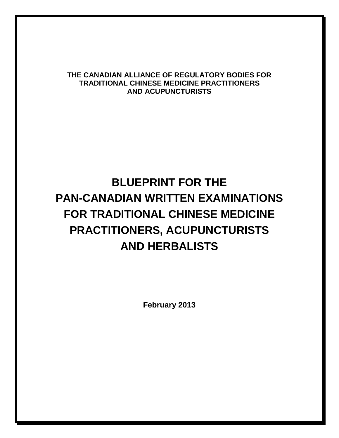#### **THE CANADIAN ALLIANCE OF REGULATORY BODIES FOR TRADITIONAL CHINESE MEDICINE PRACTITIONERS AND ACUPUNCTURISTS**

# **BLUEPRINT FOR THE PAN-CANADIAN WRITTEN EXAMINATIONS FOR TRADITIONAL CHINESE MEDICINE PRACTITIONERS, ACUPUNCTURISTS AND HERBALISTS**

**February 2013**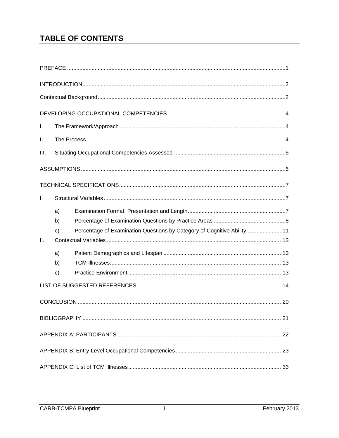# **TABLE OF CONTENTS**

| Τ.              |                          |                                                                          |  |  |  |
|-----------------|--------------------------|--------------------------------------------------------------------------|--|--|--|
| Ⅱ.              |                          |                                                                          |  |  |  |
| III.            |                          |                                                                          |  |  |  |
|                 |                          |                                                                          |  |  |  |
|                 |                          |                                                                          |  |  |  |
| L.              |                          |                                                                          |  |  |  |
| $\mathbf{II}$ . | a)<br>b)<br>$\mathbf{C}$ | Percentage of Examination Questions by Category of Cognitive Ability  11 |  |  |  |
|                 | a)<br>b)<br>$\mathbf{C}$ |                                                                          |  |  |  |
|                 |                          |                                                                          |  |  |  |
|                 | 20                       |                                                                          |  |  |  |
|                 |                          |                                                                          |  |  |  |
|                 |                          |                                                                          |  |  |  |
|                 |                          |                                                                          |  |  |  |
|                 |                          |                                                                          |  |  |  |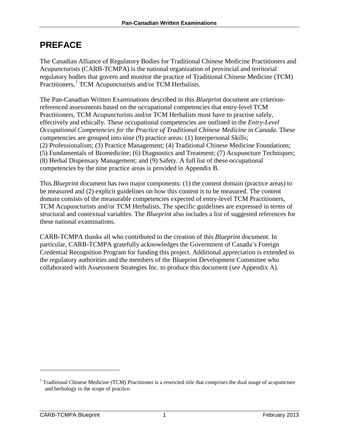# <span id="page-4-0"></span>**PREFACE**

The Canadian Alliance of Regulatory Bodies for Traditional Chinese Medicine Practitioners and Acupuncturists (CARB-TCMPA) is the national organization of provincial and territorial regulatory bodies that govern and monitor the practice of Traditional Chinese Medicine (TCM) Practitioners,<sup>[1](#page-4-1)</sup> TCM Acupuncturists and/or TCM Herbalists.

The Pan-Canadian Written Examinations described in this *Blueprint* document are criterionreferenced assessments based on the occupational competencies that entry-level TCM Practitioners, TCM Acupuncturists and/or TCM Herbalists must have to practise safely, effectively and ethically. These occupational competencies are outlined in the *Entry-Level Occupational Competencies for the Practice of Traditional Chinese Medicine in Canada. These* competencies are grouped into nine (9) practice areas: (1) Interpersonal Skills; (2) Professionalism; (3) Practice Management; (4) Traditional Chinese Medicine Foundations; (5) Fundamentals of Biomedicine; (6) Diagnostics and Treatment; (7) Acupuncture Techniques; (8) Herbal Dispensary Management; and (9) Safety. A full list of these occupational competencies by the nine practice areas is provided in Appendix B.

This *Blueprint* document has two major components: (1) the content domain (practice areas) to be measured and (2) explicit guidelines on how this content is to be measured. The content domain consists of the measurable competencies expected of entry-level TCM Practitioners, TCM Acupuncturists and/or TCM Herbalists. The specific guidelines are expressed in terms of structural and contextual variables. The *Blueprint* also includes a list of suggested references for these national examinations.

CARB-TCMPA thanks all who contributed to the creation of this *Blueprint* document. In particular, CARB-TCMPA gratefully acknowledges the Government of Canada's Foreign Credential Recognition Program for funding this project. Additional appreciation is extended to the regulatory authorities and the members of the Blueprint Development Committee who collaborated with Assessment Strategies Inc. to produce this document (see Appendix A).

 $\overline{a}$ 

<span id="page-4-1"></span> $1$  Traditional Chinese Medicine (TCM) Practitioner is a restricted title that comprises the dual usage of acupuncture and herbology in the scope of practice.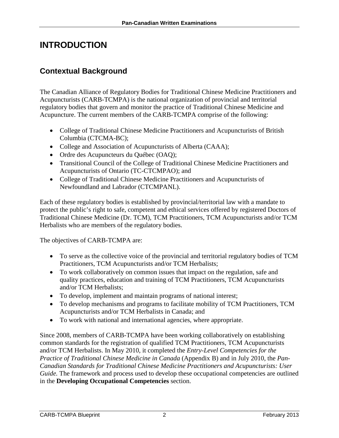# <span id="page-5-0"></span>**INTRODUCTION**

# <span id="page-5-1"></span>**Contextual Background**

The Canadian Alliance of Regulatory Bodies for Traditional Chinese Medicine Practitioners and Acupuncturists (CARB-TCMPA) is the national organization of provincial and territorial regulatory bodies that govern and monitor the practice of Traditional Chinese Medicine and Acupuncture. The current members of the CARB-TCMPA comprise of the following:

- College of Traditional Chinese Medicine Practitioners and Acupuncturists of British Columbia (CTCMA-BC);
- College and Association of Acupuncturists of Alberta (CAAA);
- Ordre des Acupuncteurs du Québec (OAQ);
- Transitional Council of the College of Traditional Chinese Medicine Practitioners and Acupuncturists of Ontario (TC-CTCMPAO); and
- College of Traditional Chinese Medicine Practitioners and Acupuncturists of Newfoundland and Labrador (CTCMPANL).

Each of these regulatory bodies is established by provincial/territorial law with a mandate to protect the public's right to safe, competent and ethical services offered by registered Doctors of Traditional Chinese Medicine (Dr. TCM), TCM Practitioners, TCM Acupuncturists and/or TCM Herbalists who are members of the regulatory bodies.

The objectives of CARB-TCMPA are:

- To serve as the collective voice of the provincial and territorial regulatory bodies of TCM Practitioners, TCM Acupuncturists and/or TCM Herbalists;
- To work collaboratively on common issues that impact on the regulation, safe and quality practices, education and training of TCM Practitioners, TCM Acupuncturists and/or TCM Herbalists;
- To develop, implement and maintain programs of national interest;
- To develop mechanisms and programs to facilitate mobility of TCM Practitioners, TCM Acupuncturists and/or TCM Herbalists in Canada; and
- To work with national and international agencies, where appropriate.

Since 2008, members of CARB-TCMPA have been working collaboratively on establishing common standards for the registration of qualified TCM Practitioners, TCM Acupuncturists and/or TCM Herbalists. In May 2010, it completed the *Entry-Level Competencies for the Practice of Traditional Chinese Medicine in Canada* (Appendix B) and in July 2010, the *Pan-Canadian Standards for Traditional Chinese Medicine Practitioners and Acupuncturists: User Guide*. The framework and process used to develop these occupational competencies are outlined in the **Developing Occupational Competencies** section.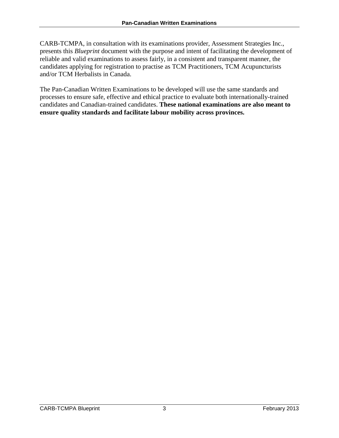CARB-TCMPA, in consultation with its examinations provider, Assessment Strategies Inc., presents this *Blueprint* document with the purpose and intent of facilitating the development of reliable and valid examinations to assess fairly, in a consistent and transparent manner, the candidates applying for registration to practise as TCM Practitioners, TCM Acupuncturists and/or TCM Herbalists in Canada.

The Pan-Canadian Written Examinations to be developed will use the same standards and processes to ensure safe, effective and ethical practice to evaluate both internationally-trained candidates and Canadian-trained candidates. **These national examinations are also meant to ensure quality standards and facilitate labour mobility across provinces.**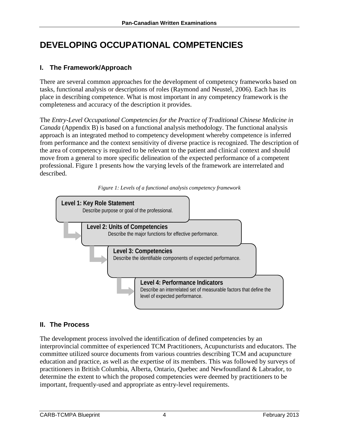# <span id="page-7-0"></span>**DEVELOPING OCCUPATIONAL COMPETENCIES**

### <span id="page-7-1"></span>**I. The Framework/Approach**

There are several common approaches for the development of competency frameworks based on tasks, functional analysis or descriptions of roles (Raymond and Neustel, 2006). Each has its place in describing competence. What is most important in any competency framework is the completeness and accuracy of the description it provides.

The *Entry-Level Occupational Competencies for the Practice of Traditional Chinese Medicine in Canada* (Appendix B) is based on a functional analysis methodology. The functional analysis approach is an integrated method to competency development whereby competence is inferred from performance and the context sensitivity of diverse practice is recognized. The description of the area of competency is required to be relevant to the patient and clinical context and should move from a general to more specific delineation of the expected performance of a competent professional. Figure 1 presents how the varying levels of the framework are interrelated and described.





### <span id="page-7-2"></span>**II. The Process**

The development process involved the identification of defined competencies by an interprovincial committee of experienced TCM Practitioners, Acupuncturists and educators. The committee utilized source documents from various countries describing TCM and acupuncture education and practice, as well as the expertise of its members. This was followed by surveys of practitioners in British Columbia, Alberta, Ontario, Quebec and Newfoundland & Labrador, to determine the extent to which the proposed competencies were deemed by practitioners to be important, frequently-used and appropriate as entry-level requirements.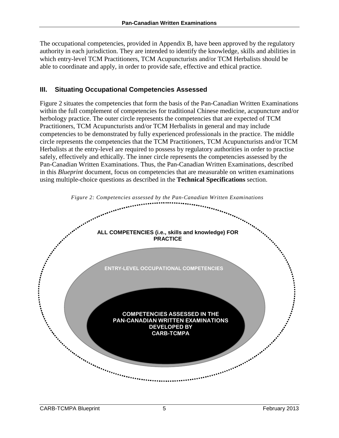The occupational competencies, provided in Appendix B, have been approved by the regulatory authority in each jurisdiction. They are intended to identify the knowledge, skills and abilities in which entry-level TCM Practitioners, TCM Acupuncturists and/or TCM Herbalists should be able to coordinate and apply, in order to provide safe, effective and ethical practice.

### <span id="page-8-0"></span>**III. Situating Occupational Competencies Assessed**

Figure 2 situates the competencies that form the basis of the Pan-Canadian Written Examinations within the full complement of competencies for traditional Chinese medicine, acupuncture and/or herbology practice. The outer circle represents the competencies that are expected of TCM Practitioners, TCM Acupuncturists and/or TCM Herbalists in general and may include competencies to be demonstrated by fully experienced professionals in the practice. The middle circle represents the competencies that the TCM Practitioners, TCM Acupuncturists and/or TCM Herbalists at the entry-level are required to possess by regulatory authorities in order to practise safely, effectively and ethically. The inner circle represents the competencies assessed by the Pan-Canadian Written Examinations. Thus, the Pan-Canadian Written Examinations, described in this *Blueprint* document, focus on competencies that are measurable on written examinations using multiple-choice questions as described in the **Technical Specifications** section.

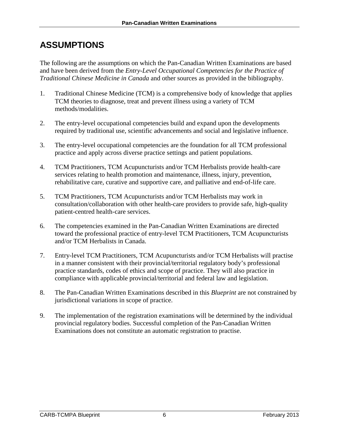# <span id="page-9-0"></span>**ASSUMPTIONS**

The following are the assumptions on which the Pan-Canadian Written Examinations are based and have been derived from the *Entry-Level Occupational Competencies for the Practice of Traditional Chinese Medicine in Canada* and other sources as provided in the bibliography.

- 1. Traditional Chinese Medicine (TCM) is a comprehensive body of knowledge that applies TCM theories to diagnose, treat and prevent illness using a variety of TCM methods/modalities.
- 2. The entry-level occupational competencies build and expand upon the developments required by traditional use, scientific advancements and social and legislative influence.
- 3. The entry-level occupational competencies are the foundation for all TCM professional practice and apply across diverse practice settings and patient populations.
- 4. TCM Practitioners, TCM Acupuncturists and/or TCM Herbalists provide health-care services relating to health promotion and maintenance, illness, injury, prevention, rehabilitative care, curative and supportive care, and palliative and end-of-life care.
- 5. TCM Practitioners, TCM Acupuncturists and/or TCM Herbalists may work in consultation/collaboration with other health-care providers to provide safe, high-quality patient-centred health-care services.
- 6. The competencies examined in the Pan-Canadian Written Examinations are directed toward the professional practice of entry-level TCM Practitioners, TCM Acupuncturists and/or TCM Herbalists in Canada.
- 7. Entry-level TCM Practitioners, TCM Acupuncturists and/or TCM Herbalists will practise in a manner consistent with their provincial/territorial regulatory body's professional practice standards, codes of ethics and scope of practice. They will also practice in compliance with applicable provincial/territorial and federal law and legislation.
- 8. The Pan-Canadian Written Examinations described in this *Blueprint* are not constrained by jurisdictional variations in scope of practice.
- 9. The implementation of the registration examinations will be determined by the individual provincial regulatory bodies. Successful completion of the Pan-Canadian Written Examinations does not constitute an automatic registration to practise.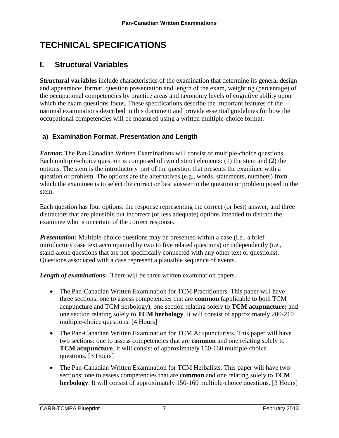# <span id="page-10-0"></span>**TECHNICAL SPECIFICATIONS**

# <span id="page-10-1"></span>**I. Structural Variables**

**Structural variables** include characteristics of the examination that determine its general design and appearance: format, question presentation and length of the exam, weighting (percentage) of the occupational competencies by practice areas and taxonomy levels of cognitive ability upon which the exam questions focus. These specifications describe the important features of the national examinations described in this document and provide essential guidelines for how the occupational competencies will be measured using a written multiple-choice format.

### <span id="page-10-2"></span>**a) Examination Format, Presentation and Length**

*Format:* The Pan-Canadian Written Examinations will consist of multiple-choice questions. Each multiple-choice question is composed of two distinct elements: (1) the stem and (2) the options. The stem is the introductory part of the question that presents the examinee with a question or problem. The options are the alternatives (e.g., words, statements, numbers) from which the examinee is to select the correct or best answer to the question or problem posed in the stem.

Each question has four options: the response representing the correct (or best) answer, and three distractors that are plausible but incorrect (or less adequate) options intended to distract the examinee who is uncertain of the correct response.

*Presentation:* Multiple-choice questions may be presented within a case (i.e., a brief introductory case text accompanied by two to five related questions) or independently (i.e., stand-alone questions that are not specifically connected with any other text or questions). Questions associated with a case represent a plausible sequence of events.

*Length of examinations*: There will be three written examination papers.

- The Pan-Canadian Written Examination for TCM Practitioners. This paper will have three sections: one to assess competencies that are **common** (applicable to both TCM acupuncture and TCM herbology), one section relating solely to **TCM acupuncture;** and one section relating solely to **TCM herbology**. It will consist of approximately 200-210 multiple-choice questions. [4 Hours]
- The Pan-Canadian Written Examination for TCM Acupuncturists. This paper will have two sections: one to assess competencies that are **common** and one relating solely to **TCM acupuncture**. It will consist of approximately 150-160 multiple-choice questions. [3 Hours]
- The Pan-Canadian Written Examination for TCM Herbalists. This paper will have two sections: one to assess competencies that are **common** and one relating solely to **TCM herbology**. It will consist of approximately 150-160 multiple-choice questions. [3 Hours]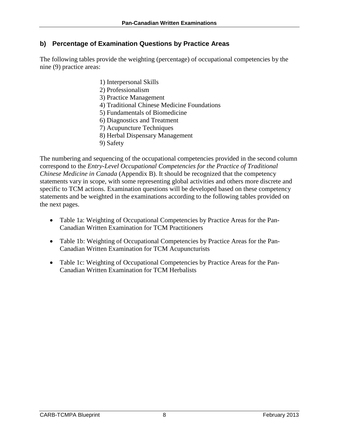### <span id="page-11-0"></span>**b) Percentage of Examination Questions by Practice Areas**

The following tables provide the weighting (percentage) of occupational competencies by the nine (9) practice areas:

- 1) Interpersonal Skills
- 2) Professionalism
- 3) Practice Management
- 4) Traditional Chinese Medicine Foundations
- 5) Fundamentals of Biomedicine
- 6) Diagnostics and Treatment
- 7) Acupuncture Techniques
- 8) Herbal Dispensary Management
- 9) Safety

The numbering and sequencing of the occupational competencies provided in the second column correspond to the *Entry-Level Occupational Competencies for the Practice of Traditional Chinese Medicine in Canada* (Appendix B). It should be recognized that the competency statements vary in scope, with some representing global activities and others more discrete and specific to TCM actions. Examination questions will be developed based on these competency statements and be weighted in the examinations according to the following tables provided on the next pages.

- Table 1a: Weighting of Occupational Competencies by Practice Areas for the Pan-Canadian Written Examination for TCM Practitioners
- Table 1b: Weighting of Occupational Competencies by Practice Areas for the Pan-Canadian Written Examination for TCM Acupuncturists
- Table 1c: Weighting of Occupational Competencies by Practice Areas for the Pan-Canadian Written Examination for TCM Herbalists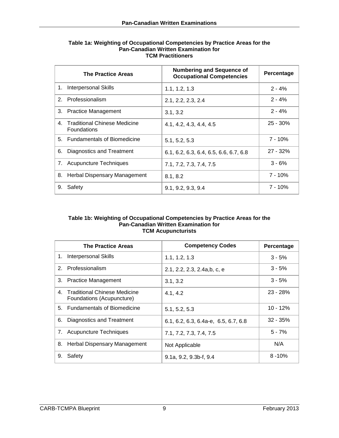|    | <b>The Practice Areas</b>                          | <b>Numbering and Sequence of</b><br><b>Occupational Competencies</b> | Percentage |
|----|----------------------------------------------------|----------------------------------------------------------------------|------------|
| 1. | Interpersonal Skills                               | 1.1, 1.2, 1.3                                                        | $2 - 4%$   |
|    | 2. Professionalism                                 | 2.1, 2.2, 2.3, 2.4                                                   | $2 - 4%$   |
|    | 3. Practice Management                             | 3.1, 3.2                                                             | $2 - 4%$   |
| 4. | Traditional Chinese Medicine<br><b>Foundations</b> | 4.1, 4.2, 4.3, 4.4, 4.5                                              | $25 - 30%$ |
|    | 5. Fundamentals of Biomedicine                     | 5.1, 5.2, 5.3                                                        | $7 - 10%$  |
| 6. | Diagnostics and Treatment                          | 6.1, 6.2, 6.3, 6.4, 6.5, 6.6, 6.7, 6.8                               | $27 - 32%$ |
| 7. | <b>Acupuncture Techniques</b>                      | 7.1, 7.2, 7.3, 7.4, 7.5                                              | $3 - 6%$   |
| 8. | Herbal Dispensary Management                       | 8.1, 8.2                                                             | $7 - 10%$  |
| 9. | Safety                                             | 9.1, 9.2, 9.3, 9.4                                                   | 7 - 10%    |

#### **Table 1a: Weighting of Occupational Competencies by Practice Areas for the Pan-Canadian Written Examination for TCM Practitioners**

#### **Table 1b: Weighting of Occupational Competencies by Practice Areas for the Pan-Canadian Written Examination for TCM Acupuncturists**

|    | <b>The Practice Areas</b>                                 | <b>Competency Codes</b>              | Percentage |
|----|-----------------------------------------------------------|--------------------------------------|------------|
| 1. | <b>Interpersonal Skills</b>                               | 1.1, 1.2, 1.3                        | $3 - 5%$   |
|    | 2. Professionalism                                        | 2.1, 2.2, 2.3, 2.4a,b, c, e          | $3 - 5%$   |
| 3. | <b>Practice Management</b>                                | 3.1, 3.2                             | $3 - 5%$   |
| 4. | Traditional Chinese Medicine<br>Foundations (Acupuncture) | 4.1, 4.2                             | $23 - 28%$ |
|    | 5. Fundamentals of Biomedicine                            | 5.1, 5.2, 5.3                        | $10 - 12%$ |
| 6. | Diagnostics and Treatment                                 | 6.1, 6.2, 6.3, 6.4a-e, 6.5, 6.7, 6.8 | $32 - 35%$ |
|    | 7. Acupuncture Techniques                                 | 7.1, 7.2, 7.3, 7.4, 7.5              | $5 - 7%$   |
| 8. | <b>Herbal Dispensary Management</b>                       | Not Applicable                       | N/A        |
| 9. | Safety                                                    | $9.1a, 9.2, 9.3b-f, 9.4$             | $8 - 10%$  |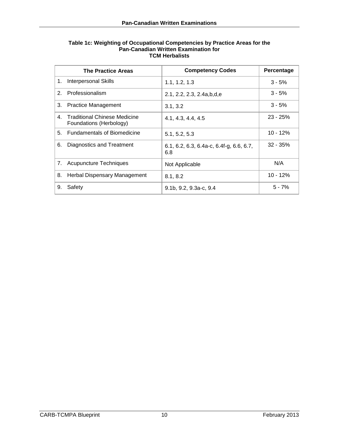|                | <b>The Practice Areas</b>                               | <b>Competency Codes</b>                           | Percentage |
|----------------|---------------------------------------------------------|---------------------------------------------------|------------|
| 1.             | <b>Interpersonal Skills</b>                             | 1.1, 1.2, 1.3                                     | $3 - 5%$   |
| 2 <sup>1</sup> | Professionalism                                         | 2.1, 2.2, 2.3, 2.4a, b, d, e                      | $3 - 5%$   |
| 3.             | <b>Practice Management</b>                              | 3.1, 3.2                                          | $3 - 5%$   |
| 4.             | Traditional Chinese Medicine<br>Foundations (Herbology) | 4.1, 4.3, 4.4, 4.5                                | $23 - 25%$ |
|                | 5. Fundamentals of Biomedicine                          | 5.1, 5.2, 5.3                                     | $10 - 12%$ |
| 6.             | Diagnostics and Treatment                               | $6.1, 6.2, 6.3, 6.4a-c, 6.4f-g, 6.6, 6.7,$<br>6.8 | $32 - 35%$ |
| 7.             | <b>Acupuncture Techniques</b>                           | Not Applicable                                    | N/A        |
| 8.             | <b>Herbal Dispensary Management</b>                     | 8.1, 8.2                                          | $10 - 12%$ |
| 9.             | Safety                                                  | $9.1b, 9.2, 9.3a-c, 9.4$                          | $5 - 7%$   |

#### **Table 1c: Weighting of Occupational Competencies by Practice Areas for the Pan-Canadian Written Examination for TCM Herbalists**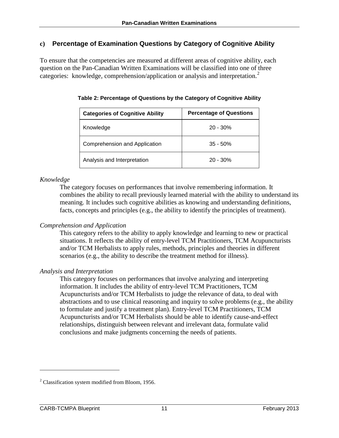#### <span id="page-14-0"></span>**c) Percentage of Examination Questions by Category of Cognitive Ability**

To ensure that the competencies are measured at different areas of cognitive ability, each question on the Pan-Canadian Written Examinations will be classified into one of three categories: knowledge, comprehension/application or analysis and interpretation.<sup>[2](#page-14-1)</sup>

| <b>Categories of Cognitive Ability</b> | <b>Percentage of Questions</b> |
|----------------------------------------|--------------------------------|
| Knowledge                              | $20 - 30%$                     |
| Comprehension and Application          | $35 - 50%$                     |
| Analysis and Interpretation            | $20 - 30%$                     |

**Table 2: Percentage of Questions by the Category of Cognitive Ability**

#### *Knowledge*

The category focuses on performances that involve remembering information. It combines the ability to recall previously learned material with the ability to understand its meaning. It includes such cognitive abilities as knowing and understanding definitions, facts, concepts and principles (e.g., the ability to identify the principles of treatment).

#### *Comprehension and Application*

This category refers to the ability to apply knowledge and learning to new or practical situations. It reflects the ability of entry-level TCM Practitioners, TCM Acupuncturists and/or TCM Herbalists to apply rules, methods, principles and theories in different scenarios (e.g., the ability to describe the treatment method for illness).

#### *Analysis and Interpretation*

This category focuses on performances that involve analyzing and interpreting information. It includes the ability of entry-level TCM Practitioners, TCM Acupuncturists and/or TCM Herbalists to judge the relevance of data, to deal with abstractions and to use clinical reasoning and inquiry to solve problems (e.g., the ability to formulate and justify a treatment plan). Entry-level TCM Practitioners, TCM Acupuncturists and/or TCM Herbalists should be able to identify cause-and-effect relationships, distinguish between relevant and irrelevant data, formulate valid conclusions and make judgments concerning the needs of patients.

 $\overline{a}$ 

<span id="page-14-1"></span><sup>&</sup>lt;sup>2</sup> Classification system modified from Bloom, 1956.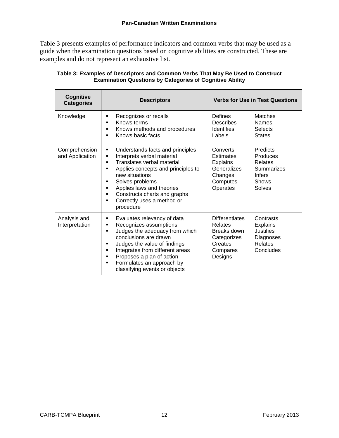Table 3 presents examples of performance indicators and common verbs that may be used as a guide when the examination questions based on cognitive abilities are constructed. These are examples and do not represent an exhaustive list.

| Cognitive<br><b>Categories</b>   | <b>Descriptors</b>                                                                                                                                                                                                                                                                                                      | <b>Verbs for Use in Test Questions</b>                                                                                                                                                 |  |
|----------------------------------|-------------------------------------------------------------------------------------------------------------------------------------------------------------------------------------------------------------------------------------------------------------------------------------------------------------------------|----------------------------------------------------------------------------------------------------------------------------------------------------------------------------------------|--|
| Knowledge                        | Recognizes or recalls<br>▪<br>Knows terms<br>٠<br>Knows methods and procedures<br>٠<br>Knows basic facts<br>▪                                                                                                                                                                                                           | Defines<br>Matches<br><b>Describes</b><br><b>Names</b><br><b>Identifies</b><br><b>Selects</b><br>Labels<br><b>States</b>                                                               |  |
| Comprehension<br>and Application | Understands facts and principles<br>٠<br>Interprets verbal material<br>٠<br>Translates verbal material<br>٠<br>Applies concepts and principles to<br>٠<br>new situations<br>Solves problems<br>٠<br>Applies laws and theories<br>٠<br>Constructs charts and graphs<br>٠<br>Correctly uses a method or<br>٠<br>procedure | Predicts<br>Converts<br><b>Estimates</b><br>Produces<br><b>Explains</b><br>Relates<br>Generalizes<br>Summarizes<br>Changes<br><b>Infers</b><br>Computes<br>Shows<br>Operates<br>Solves |  |
| Analysis and<br>Interpretation   | Evaluates relevancy of data<br>٠<br>Recognizes assumptions<br>٠<br>Judges the adequacy from which<br>٠<br>conclusions are drawn<br>Judges the value of findings<br>٠<br>Integrates from different areas<br>Ξ<br>Proposes a plan of action<br>٠<br>Formulates an approach by<br>٠<br>classifying events or objects       | <b>Differentiates</b><br>Contrasts<br>Relates<br><b>Explains</b><br>Justifies<br>Breaks down<br>Categorizes<br>Diagnoses<br>Creates<br>Relates<br>Concludes<br>Compares<br>Designs     |  |

| Table 3: Examples of Descriptors and Common Verbs That May Be Used to Construct |
|---------------------------------------------------------------------------------|
| <b>Examination Questions by Categories of Cognitive Ability</b>                 |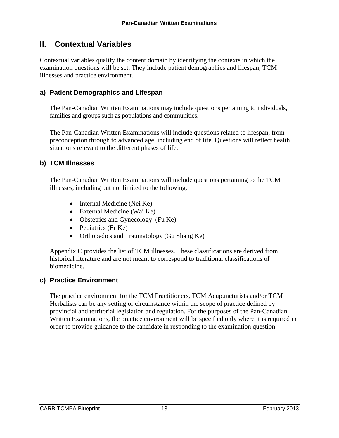### <span id="page-16-0"></span>**II. Contextual Variables**

Contextual variables qualify the content domain by identifying the contexts in which the examination questions will be set. They include patient demographics and lifespan, TCM illnesses and practice environment.

### <span id="page-16-1"></span>**a) Patient Demographics and Lifespan**

The Pan-Canadian Written Examinations may include questions pertaining to individuals, families and groups such as populations and communities.

The Pan-Canadian Written Examinations will include questions related to lifespan, from preconception through to advanced age, including end of life. Questions will reflect health situations relevant to the different phases of life.

### <span id="page-16-2"></span>**b) TCM Illnesses**

The Pan-Canadian Written Examinations will include questions pertaining to the TCM illnesses, including but not limited to the following.

- Internal Medicine (Nei Ke)
- External Medicine (Wai Ke)
- Obstetrics and Gynecology (Fu Ke)
- Pediatrics (Er Ke)
- Orthopedics and Traumatology (Gu Shang Ke)

Appendix C provides the list of TCM illnesses. These classifications are derived from historical literature and are not meant to correspond to traditional classifications of biomedicine.

### <span id="page-16-3"></span>**c) Practice Environment**

The practice environment for the TCM Practitioners, TCM Acupuncturists and/or TCM Herbalists can be any setting or circumstance within the scope of practice defined by provincial and territorial legislation and regulation. For the purposes of the Pan-Canadian Written Examinations, the practice environment will be specified only where it is required in order to provide guidance to the candidate in responding to the examination question.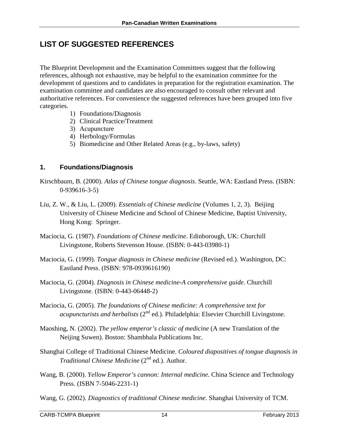### <span id="page-17-0"></span>**LIST OF SUGGESTED REFERENCES**

The Blueprint Development and the Examination Committees suggest that the following references, although not exhaustive, may be helpful to the examination committee for the development of questions and to candidates in preparation for the registration examination. The examination committee and candidates are also encouraged to consult other relevant and authoritative references. For convenience the suggested references have been grouped into five categories.

- 1) Foundations/Diagnosis
- 2) Clinical Practice/Treatment
- 3) Acupuncture
- 4) Herbology/Formulas
- 5) Biomedicine and Other Related Areas (e.g., by-laws, safety)

#### **1. Foundations/Diagnosis**

- Kirschbaum, B. (2000). *Atlas of Chinese tongue diagnosis*. Seattle, WA: Eastland Press. (ISBN: 0-939616-3-5)
- Liu, Z. W., & Liu, L. (2009). *Essentials of Chinese medicine* (Volumes 1, 2, 3). Beijing University of Chinese Medicine and School of Chinese Medicine, Baptist University, Hong Kong: Springer.
- Maciocia, G. (1987). *Foundations of Chinese medicine*. Edinborough, UK: Churchill Livingstone, Roberts Stevenson House. (ISBN: 0-443-03980-1)
- Maciocia, G. (1999). *Tongue diagnosis in Chinese medicine* (Revised ed.). Washington, DC: Eastland Press. (ISBN: 978-0939616190)
- Maciocia, G. (2004). *Diagnosis in Chinese medicine-A comprehensive guide*. Churchill Livingstone. (ISBN: 0-443-06448-2)
- Maciocia, G. (2005). *The foundations of Chinese medicine: A comprehensive text for acupuncturists and herbalists* (2<sup>nd</sup> ed.). Philadelphia: Elsevier Churchill Livingstone.
- Maoshing, N. (2002). *The yellow emperor's classic of medicine* (A new Translation of the Neijing Suwen). Boston: Shambhala Publications Inc.
- Shanghai College of Traditional Chinese Medicine. *Coloured diapositives of tongue diagnosis in Traditional Chinese Medicine* (2<sup>nd</sup> ed.). Author.
- Wang, B. (2000). *Yellow Emperor's cannon: Internal medicine.* China Science and Technology Press. (ISBN 7-5046-2231-1)
- Wang, G. (2002). *Diagnostics of traditional Chinese medicine*. Shanghai University of TCM.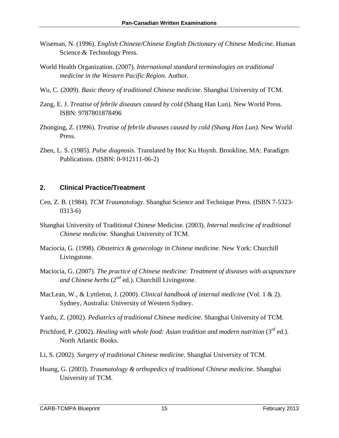- Wiseman, N. (1996). *English Chinese/Chinese English Dictionary of Chinese Medicine*. Human Science & Technology Press.
- World Health Organization. (2007). *International standard terminologies on traditional medicine in the Western Pacific Region*. Author.
- Wu, C. (2009). *Basic theory of traditional Chinese medicine*. Shanghai University of TCM.
- Zang, E. J. *Treatise of febrile diseases caused by cold* (Shang Han Lun). New World Press. ISBN: 9787801878496
- Zhonging, Z. (1996). *Treatise of febrile diseases caused by cold (Shang Han Lun)*. New World Press.
- Zhen, L. S. (1985). *Pulse diagnosis*. Translated by Hoc Ku Huynh. Brookline, MA: Paradigm Publications. (ISBN: 0-912111-06-2)

#### **2. Clinical Practice/Treatment**

- Cen, Z. B. (1984). *TCM Traumatology*. Shanghai Science and Technique Press. (ISBN 7-5323- 0313-6)
- Shanghai University of Traditional Chinese Medicine. (2003). *Internal medicine of traditional Chinese medicine*. Shanghai University of TCM.
- Maciocia, G. (1998). *Obstetrics & gynecology in Chinese medicine*. New York: Churchill Livingstone.
- Maciocia, G. (2007). *The practice of Chinese medicine: Treatment of diseases with acupuncture*  and Chinese herbs  $(2^{nd}$  ed.). Churchill Livingstone.
- MacLean, W., & Lyttleton, J. (2000). *Clinical handbook of internal medicine* (Vol. 1 & 2). Sydney, Australia: University of Western Sydney.
- Yanfu, Z. (2002). *Pediatrics of traditional Chinese medicine*. Shanghai University of TCM.
- Prichford, P. (2002). *Healing with whole food: Asian tradition and modern nutrition* (3<sup>rd</sup> ed.). North Atlantic Books.
- Li, S. (2002). *Surgery of traditional Chinese medicine*. Shanghai University of TCM.
- Huang, G. (2003). *Traumatology & orthopedics of traditional Chinese medicine*. Shanghai University of TCM.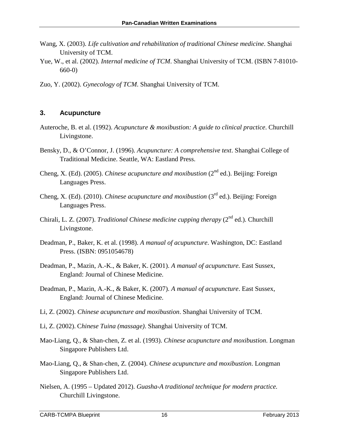- Wang, X. (2003). *Life cultivation and rehabilitation of traditional Chinese medicine*. Shanghai University of TCM.
- Yue, W., et al. (2002). *Internal medicine of TCM*. Shanghai University of TCM. (ISBN 7-81010- 660-0)
- Zuo, Y. (2002). *Gynecology of TCM*. Shanghai University of TCM.

#### **3. Acupuncture**

- Auteroche, B. et al. (1992). *Acupuncture & moxibustion: A guide to clinical practice*. Churchill Livingstone.
- Bensky, D., & O'Connor, J. (1996). *Acupuncture: A comprehensive text*. Shanghai College of Traditional Medicine. Seattle, WA: Eastland Press.
- Cheng, X. (Ed). (2005). *Chinese acupuncture and moxibustion* ( $2<sup>nd</sup>$  ed.). Beijing: Foreign Languages Press.
- Cheng, X. (Ed). (2010). *Chinese acupuncture and moxibustion* (3rd ed.). Beijing: Foreign Languages Press.
- Chirali, L. Z. (2007). *Traditional Chinese medicine cupping therapy* (2<sup>nd</sup> ed.). Churchill Livingstone.
- Deadman, P., Baker, K. et al. (1998). *A manual of acupuncture*. Washington, DC: Eastland Press. (ISBN: 0951054678)
- Deadman, P., Mazin, A.-K., & Baker, K. (2001). *A manual of acupuncture.* East Sussex, England: Journal of Chinese Medicine.
- Deadman, P., Mazin, A.-K., & Baker, K. (2007). *A manual of acupuncture*. East Sussex, England: Journal of Chinese Medicine.
- Li, Z. (2002). *Chinese acupuncture and moxibustion*. Shanghai University of TCM.
- Li, Z. (2002). C*hinese Tuina (massage)*. Shanghai University of TCM.
- Mao-Liang, Q., & Shan-chen, Z. et al. (1993). *Chinese acupuncture and moxibustion*. Longman Singapore Publishers Ltd.
- Mao-Liang, Q., & Shan-chen, Z. (2004). *Chinese acupuncture and moxibustion*. Longman Singapore Publishers Ltd.
- Nielsen, A. (1995 Updated 2012). *Guasha-A traditional technique for modern practice.* Churchill Livingstone.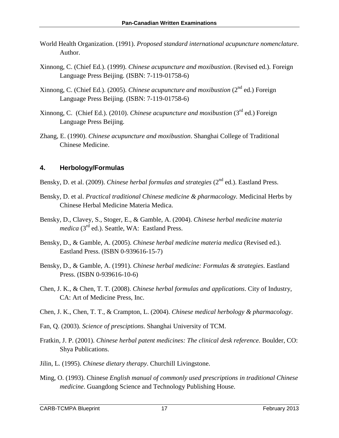- World Health Organization. (1991). *Proposed standard international acupuncture nomenclature*. Author.
- Xinnong, C. (Chief Ed.). (1999). *Chinese acupuncture and moxibustion*. (Revised ed.). Foreign Language Press Beijing. (ISBN: 7-119-01758-6)
- Xinnong, C. (Chief Ed.). (2005). *Chinese acupuncture and moxibustion* (2<sup>nd</sup> ed.) Foreign Language Press Beijing. (ISBN: 7-119-01758-6)
- Xinnong, C. (Chief Ed.). (2010). *Chinese acupuncture and moxibustion* (3rd ed.) Foreign Language Press Beijing.
- Zhang, E. (1990). *Chinese acupuncture and moxibustion*. Shanghai College of Traditional Chinese Medicine.

#### **4. Herbology/Formulas**

- Bensky, D. et al. (2009). *Chinese herbal formulas and strategies* (2<sup>nd</sup> ed.). Eastland Press.
- Bensky, D. et al. *Practical traditional Chinese medicine & pharmacology.* Medicinal Herbs by Chinese Herbal Medicine Materia Medica.
- Bensky, D., Clavey, S., Stoger, E., & Gamble, A. (2004). *Chinese herbal medicine materia medica* (3<sup>rd</sup> ed.). Seattle, WA: Eastland Press.
- Bensky, D., & Gamble, A. (2005). *Chinese herbal medicine materia medica* (Revised ed.). Eastland Press. (ISBN 0-939616-15-7)
- Bensky, D., & Gamble, A. (1991). *Chinese herbal medicine: Formulas & strategies*. Eastland Press. (ISBN 0-939616-10-6)
- Chen, J. K., & Chen, T. T. (2008). *Chinese herbal formulas and applications*. City of Industry, CA: Art of Medicine Press, Inc.
- Chen, J. K., Chen, T. T., & Crampton, L. (2004). *Chinese medical herbology & pharmacology*.
- Fan, Q. (2003). *Science of presciptions*. Shanghai University of TCM.
- Fratkin, J. P. (2001). *Chinese herbal patent medicines: The clinical desk reference*. Boulder, CO: Shya Publications.
- Jilin, L. (1995). *Chinese dietary therapy*. Churchill Livingstone.
- Ming, O. (1993). Chinese *English manual of commonly used prescriptions in traditional Chinese medicine*. Guangdong Science and Technology Publishing House.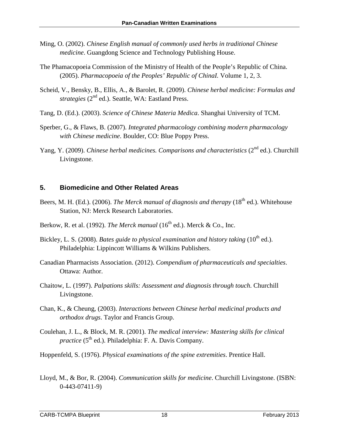- Ming, O. (2002). *Chinese English manual of commonly used herbs in traditional Chinese medicine*. Guangdong Science and Technology Publishing House.
- The Phamacopoeia Commission of the Ministry of Health of the People's Republic of China. (2005). *Pharmacopoeia of the Peoples' Republic of ChinaI.* Volume 1, 2, 3.
- Scheid, V., Bensky, B., Ellis, A., & Barolet, R. (2009). *Chinese herbal medicine: Formulas and strategies* (2<sup>nd</sup> ed.). Seattle, WA: Eastland Press.
- Tang, D. (Ed.). (2003). *Science of Chinese Materia Medica*. Shanghai University of TCM.
- Sperber, G., & Flaws, B. (2007). *Integrated pharmacology combining modern pharmacology with Chinese medicine*. Boulder, CO: Blue Poppy Press.
- Yang, Y. (2009). *Chinese herbal medicines. Comparisons and characteristics* (2<sup>nd</sup> ed.). Churchill Livingstone.

#### **5. Biomedicine and Other Related Areas**

- Beers, M. H. (Ed.). (2006). *The Merck manual of diagnosis and therapy* (18<sup>th</sup> ed.). Whitehouse Station, NJ: Merck Research Laboratories.
- Berkow, R. et al. (1992). *The Merck manual* ( $16<sup>th</sup>$  ed.). Merck & Co., Inc.
- Bickley, L. S. (2008). *Bates guide to physical examination and history taking* (10<sup>th</sup> ed.). Philadelphia: Lippincott Williams & Wilkins Publishers.
- Canadian Pharmacists Association. (2012). *Compendium of pharmaceuticals and specialties*. Ottawa: Author.
- Chaitow, L. (1997). *Palpations skills: Assessment and diagnosis through touch*. Churchill Livingstone.
- Chan, K., & Cheung, (2003). *Interactions between Chinese herbal medicinal products and orthodox drugs*. Taylor and Francis Group.
- Coulehan, J. L., & Block, M. R. (2001). *The medical interview: Mastering skills for clinical practice* (5<sup>th</sup> ed.). Philadelphia: F. A. Davis Company.
- Hoppenfeld, S. (1976). *Physical examinations of the spine extremities*. Prentice Hall.
- Lloyd, M., & Bor, R. (2004). *Communication skills for medicine*. Churchill Livingstone. (ISBN: 0-443-07411-9)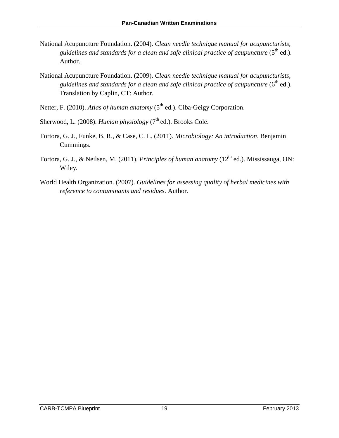- National Acupuncture Foundation. (2004). *Clean needle technique manual for acupuncturists,*  guidelines and standards for a clean and safe clinical practice of acupuncture (5<sup>th</sup> ed.). Author.
- National Acupuncture Foundation. (2009). *Clean needle technique manual for acupuncturists, guidelines and standards for a clean and safe clinical practice of acupuncture*  $(6<sup>th</sup>$  ed.). Translation by Caplin, CT: Author.
- Netter, F. (2010). *Atlas of human anatomy* (5<sup>th</sup> ed.). Ciba-Geigy Corporation.
- Sherwood, L. (2008). *Human physiology* (7<sup>th</sup> ed.). Brooks Cole.
- Tortora, G. J., Funke, B. R., & Case, C. L. (2011). *Microbiology: An introduction*. Benjamin Cummings.
- Tortora, G. J., & Neilsen, M. (2011). *Principles of human anatomy* (12<sup>th</sup> ed.). Mississauga, ON: Wiley.
- World Health Organization. (2007). *Guidelines for assessing quality of herbal medicines with reference to contaminants and residues*. Author.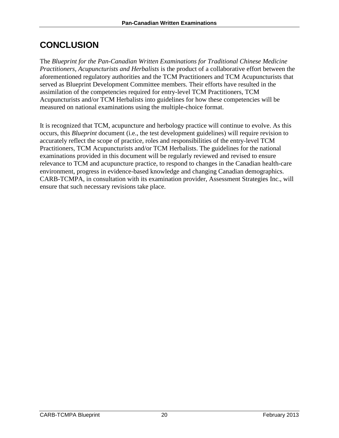# <span id="page-23-0"></span>**CONCLUSION**

The *Blueprint for the Pan-Canadian Written Examinations for Traditional Chinese Medicine Practitioners, Acupuncturists and Herbalists* is the product of a collaborative effort between the aforementioned regulatory authorities and the TCM Practitioners and TCM Acupuncturists that served as Blueprint Development Committee members. Their efforts have resulted in the assimilation of the competencies required for entry-level TCM Practitioners, TCM Acupuncturists and/or TCM Herbalists into guidelines for how these competencies will be measured on national examinations using the multiple-choice format.

It is recognized that TCM, acupuncture and herbology practice will continue to evolve. As this occurs, this *Blueprint* document (i.e., the test development guidelines) will require revision to accurately reflect the scope of practice, roles and responsibilities of the entry-level TCM Practitioners, TCM Acupuncturists and/or TCM Herbalists. The guidelines for the national examinations provided in this document will be regularly reviewed and revised to ensure relevance to TCM and acupuncture practice, to respond to changes in the Canadian health-care environment, progress in evidence-based knowledge and changing Canadian demographics. CARB-TCMPA, in consultation with its examination provider, Assessment Strategies Inc., will ensure that such necessary revisions take place.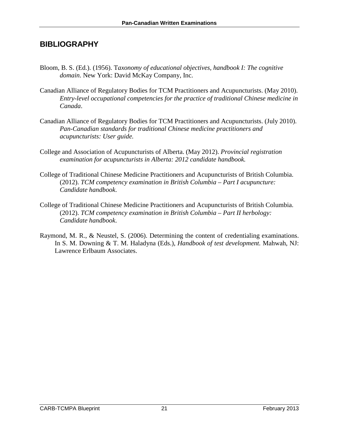### <span id="page-24-0"></span>**BIBLIOGRAPHY**

- Bloom, B. S. (Ed.). (1956). T*axonomy of educational objectives, handbook I: The cognitive domain*. New York: David McKay Company, Inc.
- Canadian Alliance of Regulatory Bodies for TCM Practitioners and Acupuncturists. (May 2010). *Entry-level occupational competencies for the practice of traditional Chinese medicine in Canada*.
- Canadian Alliance of Regulatory Bodies for TCM Practitioners and Acupuncturists. (July 2010). *Pan-Canadian standards for traditional Chinese medicine practitioners and acupuncturists: User guide.*
- College and Association of Acupuncturists of Alberta. (May 2012). *Provincial registration examination for acupuncturists in Alberta: 2012 candidate handbook.*
- College of Traditional Chinese Medicine Practitioners and Acupuncturists of British Columbia. (2012). *TCM competency examination in British Columbia – Part I acupuncture: Candidate handbook*.
- College of Traditional Chinese Medicine Practitioners and Acupuncturists of British Columbia. (2012). *TCM competency examination in British Columbia – Part II herbology: Candidate handbook*.
- Raymond, M. R., & Neustel, S. (2006). Determining the content of credentialing examinations. In S. M. Downing & T. M. Haladyna (Eds.), *Handbook of test development.* Mahwah, NJ: Lawrence Erlbaum Associates.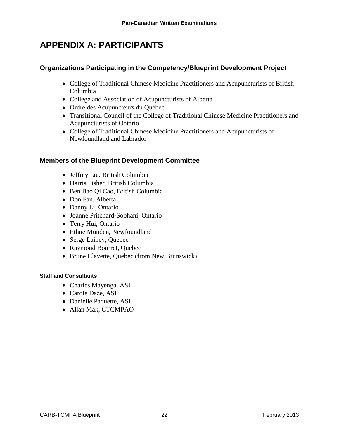# <span id="page-25-0"></span>**APPENDIX A: PARTICIPANTS**

### **Organizations Participating in the Competency/Blueprint Development Project**

- College of Traditional Chinese Medicine Practitioners and Acupuncturists of British Columbia
- College and Association of Acupuncturists of Alberta
- Ordre des Acupuncteurs du Québec
- Transitional Council of the College of Traditional Chinese Medicine Practitioners and Acupuncturists of Ontario
- College of Traditional Chinese Medicine Practitioners and Acupuncturists of Newfoundland and Labrador

#### **Members of the Blueprint Development Committee**

- Jeffrey Liu, British Columbia
- Harris Fisher, British Columbia
- Ben Bao Qi Cao, British Columbia
- Don Fan, Alberta
- Danny Li, Ontario
- Joanne Pritchard-Sobhani, Ontario
- Terry Hui, Ontario
- Ethne Munden, Newfoundland
- Serge Lainey, Quebec
- Raymond Bourret, Quebec
- Brune Clavette, Quebec (from New Brunswick)

#### **Staff and Consultants**

- Charles Mayenga, ASI
- Carole Dazé, ASI
- Danielle Paquette, ASI
- Allan Mak, CTCMPAO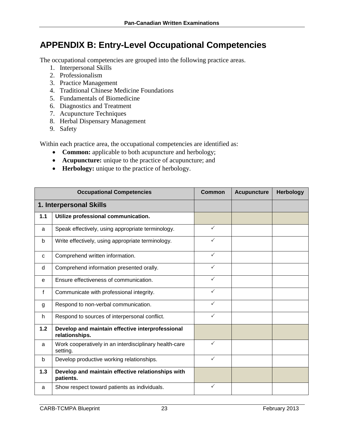# <span id="page-26-0"></span>**APPENDIX B: Entry-Level Occupational Competencies**

The occupational competencies are grouped into the following practice areas.

- 1. Interpersonal Skills
- 2. Professionalism
- 3. Practice Management
- 4. Traditional Chinese Medicine Foundations
- 5. Fundamentals of Biomedicine
- 6. Diagnostics and Treatment
- 7. Acupuncture Techniques
- 8. Herbal Dispensary Management
- 9. Safety

Within each practice area, the occupational competencies are identified as:

- **Common:** applicable to both acupuncture and herbology;
- **Acupuncture:** unique to the practice of acupuncture; and
- **Herbology:** unique to the practice of herbology.

|              | <b>Occupational Competencies</b>                                   | <b>Common</b> | <b>Acupuncture</b> | <b>Herbology</b> |
|--------------|--------------------------------------------------------------------|---------------|--------------------|------------------|
|              | 1. Interpersonal Skills                                            |               |                    |                  |
| 1.1          | Utilize professional communication.                                |               |                    |                  |
| a            | Speak effectively, using appropriate terminology.                  | $\checkmark$  |                    |                  |
| b            | Write effectively, using appropriate terminology.                  | ✓             |                    |                  |
| C            | Comprehend written information.                                    | $\checkmark$  |                    |                  |
| d            | Comprehend information presented orally.                           | $\checkmark$  |                    |                  |
| e            | Ensure effectiveness of communication.                             | ✓             |                    |                  |
| $\mathbf{f}$ | Communicate with professional integrity.                           | $\checkmark$  |                    |                  |
| g            | Respond to non-verbal communication.                               | $\checkmark$  |                    |                  |
| h            | Respond to sources of interpersonal conflict.                      | $\checkmark$  |                    |                  |
| 1.2          | Develop and maintain effective interprofessional<br>relationships. |               |                    |                  |
| a            | Work cooperatively in an interdisciplinary health-care<br>setting. | $\checkmark$  |                    |                  |
| b            | Develop productive working relationships.                          | $\checkmark$  |                    |                  |
| 1.3          | Develop and maintain effective relationships with<br>patients.     |               |                    |                  |
| a            | Show respect toward patients as individuals.                       | $\checkmark$  |                    |                  |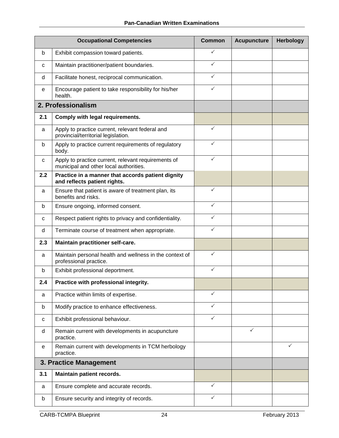|     | <b>Occupational Competencies</b>                                                              | <b>Common</b> | <b>Acupuncture</b> | <b>Herbology</b> |
|-----|-----------------------------------------------------------------------------------------------|---------------|--------------------|------------------|
| b   | Exhibit compassion toward patients.                                                           | ✓             |                    |                  |
| C   | Maintain practitioner/patient boundaries.                                                     | $\checkmark$  |                    |                  |
| d   | Facilitate honest, reciprocal communication.                                                  | $\checkmark$  |                    |                  |
| е   | Encourage patient to take responsibility for his/her<br>health.                               | ✓             |                    |                  |
|     | 2. Professionalism                                                                            |               |                    |                  |
| 2.1 | Comply with legal requirements.                                                               |               |                    |                  |
| a   | Apply to practice current, relevant federal and<br>provincial/territorial legislation.        | $\checkmark$  |                    |                  |
| b   | Apply to practice current requirements of regulatory<br>body.                                 | ✓             |                    |                  |
| C   | Apply to practice current, relevant requirements of<br>municipal and other local authorities. | ✓             |                    |                  |
| 2.2 | Practice in a manner that accords patient dignity<br>and reflects patient rights.             |               |                    |                  |
| a   | Ensure that patient is aware of treatment plan, its<br>benefits and risks.                    | ✓             |                    |                  |
| b   | Ensure ongoing, informed consent.                                                             | ✓             |                    |                  |
| C   | Respect patient rights to privacy and confidentiality.                                        | $\checkmark$  |                    |                  |
| d   | Terminate course of treatment when appropriate.                                               | $\checkmark$  |                    |                  |
| 2.3 | Maintain practitioner self-care.                                                              |               |                    |                  |
| a   | Maintain personal health and wellness in the context of<br>professional practice.             | $\checkmark$  |                    |                  |
| b   | Exhibit professional deportment.                                                              | $\checkmark$  |                    |                  |
| 2.4 | Practice with professional integrity.                                                         |               |                    |                  |
| a   | Practice within limits of expertise.                                                          | ✓             |                    |                  |
| b   | Modify practice to enhance effectiveness.                                                     | $\checkmark$  |                    |                  |
| с   | Exhibit professional behaviour.                                                               | ✓             |                    |                  |
| d   | Remain current with developments in acupuncture<br>practice.                                  |               | ✓                  |                  |
| e   | Remain current with developments in TCM herbology<br>practice.                                |               |                    | ✓                |
|     | 3. Practice Management                                                                        |               |                    |                  |
| 3.1 | Maintain patient records.                                                                     |               |                    |                  |
| a   | Ensure complete and accurate records.                                                         | $\checkmark$  |                    |                  |
| b   | Ensure security and integrity of records.                                                     | ✓             |                    |                  |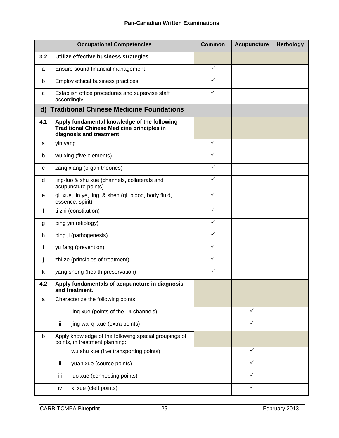|     | <b>Occupational Competencies</b>                                                                                              | <b>Common</b> | <b>Acupuncture</b> | <b>Herbology</b> |
|-----|-------------------------------------------------------------------------------------------------------------------------------|---------------|--------------------|------------------|
| 3.2 | Utilize effective business strategies                                                                                         |               |                    |                  |
| a   | Ensure sound financial management.                                                                                            | $\checkmark$  |                    |                  |
| b   | Employ ethical business practices.                                                                                            | $\checkmark$  |                    |                  |
| C   | Establish office procedures and supervise staff<br>accordingly.                                                               | ✓             |                    |                  |
|     | d) Traditional Chinese Medicine Foundations                                                                                   |               |                    |                  |
| 4.1 | Apply fundamental knowledge of the following<br><b>Traditional Chinese Medicine principles in</b><br>diagnosis and treatment. |               |                    |                  |
| a   | yin yang                                                                                                                      | $\checkmark$  |                    |                  |
| b   | wu xing (five elements)                                                                                                       | $\checkmark$  |                    |                  |
| C   | zang xiang (organ theories)                                                                                                   | $\checkmark$  |                    |                  |
| d   | jing-luo & shu xue (channels, collaterals and<br>acupuncture points)                                                          | $\checkmark$  |                    |                  |
| e   | qi, xue, jin ye, jing, & shen (qi, blood, body fluid,<br>essence, spirit)                                                     | $\checkmark$  |                    |                  |
| f   | ti zhi (constitution)                                                                                                         | $\checkmark$  |                    |                  |
| g   | bing yin (etiology)                                                                                                           | $\checkmark$  |                    |                  |
| h   | bing ji (pathogenesis)                                                                                                        | $\checkmark$  |                    |                  |
| Ť   | yu fang (prevention)                                                                                                          | $\checkmark$  |                    |                  |
| j   | zhi ze (principles of treatment)                                                                                              | $\checkmark$  |                    |                  |
| k   | yang sheng (health preservation)                                                                                              | $\checkmark$  |                    |                  |
| 4.2 | Apply fundamentals of acupuncture in diagnosis<br>and treatment.                                                              |               |                    |                  |
| a   | Characterize the following points:                                                                                            |               |                    |                  |
|     | i<br>jing xue (points of the 14 channels)                                                                                     |               | $\checkmark$       |                  |
|     | ii.<br>jing wai qi xue (extra points)                                                                                         |               | ✓                  |                  |
| b   | Apply knowledge of the following special groupings of<br>points, in treatment planning:                                       |               |                    |                  |
|     | wu shu xue (five transporting points)                                                                                         |               | $\checkmark$       |                  |
|     | ii.<br>yuan xue (source points)                                                                                               |               | ✓                  |                  |
|     | luo xue (connecting points)<br>iii                                                                                            |               | ✓                  |                  |
|     | xi xue (cleft points)<br>iv                                                                                                   |               | ✓                  |                  |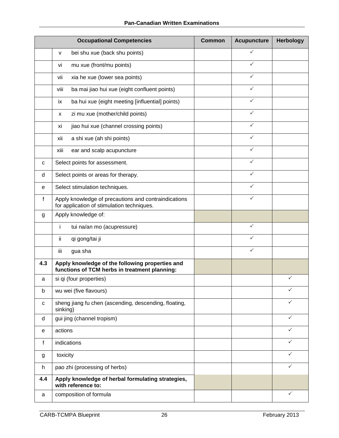|             | <b>Occupational Competencies</b>                                                                   | <b>Common</b> | <b>Acupuncture</b> | <b>Herbology</b> |
|-------------|----------------------------------------------------------------------------------------------------|---------------|--------------------|------------------|
|             | bei shu xue (back shu points)<br>v                                                                 |               | ✓                  |                  |
|             | mu xue (front/mu points)<br>vi                                                                     |               | $\checkmark$       |                  |
|             | xia he xue (lower sea points)<br>vii                                                               |               | ✓                  |                  |
|             | ba mai jiao hui xue (eight confluent points)<br>viii                                               |               | ✓                  |                  |
|             | ba hui xue (eight meeting [influential] points)<br>ix                                              |               | $\checkmark$       |                  |
|             | zi mu xue (mother/child points)<br>X                                                               |               | ✓                  |                  |
|             | jiao hui xue (channel crossing points)<br>xi                                                       |               | ✓                  |                  |
|             | a shi xue (ah shi points)<br>xii                                                                   |               | $\checkmark$       |                  |
|             | ear and scalp acupuncture<br>xiii                                                                  |               | $\checkmark$       |                  |
| c           | Select points for assessment.                                                                      |               | $\checkmark$       |                  |
| d           | Select points or areas for therapy.                                                                |               | $\checkmark$       |                  |
| е           | Select stimulation techniques.                                                                     |               | $\checkmark$       |                  |
| f           | Apply knowledge of precautions and contraindications<br>for application of stimulation techniques. |               | ✓                  |                  |
| g           | Apply knowledge of:                                                                                |               |                    |                  |
|             | i.<br>tui na/an mo (acupressure)                                                                   |               | $\checkmark$       |                  |
|             | qi gong/tai ji<br>ij.                                                                              |               |                    |                  |
|             | iii<br>gua sha                                                                                     |               | ✓                  |                  |
| 4.3         | Apply knowledge of the following properties and<br>functions of TCM herbs in treatment planning:   |               |                    |                  |
| a           | si qi (four properties)                                                                            |               |                    | ✓                |
| b           | wu wei (five flavours)                                                                             |               |                    |                  |
| $\mathbf C$ | sheng jiang fu chen (ascending, descending, floating,<br>sinking)                                  |               |                    |                  |
| d           | gui jing (channel tropism)                                                                         |               |                    | ✓                |
| е           | actions                                                                                            |               |                    | ✓                |
| f           | indications                                                                                        |               |                    | ✓                |
| g           | toxicity                                                                                           |               |                    |                  |
| h           | pao zhi (processing of herbs)                                                                      |               |                    | ✓                |
| 4.4         | Apply knowledge of herbal formulating strategies,<br>with reference to:                            |               |                    |                  |
| a           | composition of formula                                                                             |               |                    | ✓                |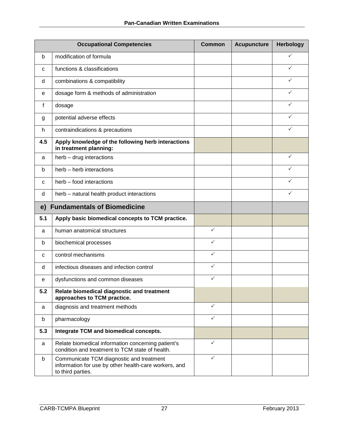|     | <b>Occupational Competencies</b>                                                                                       | <b>Common</b> | <b>Acupuncture</b> | <b>Herbology</b> |
|-----|------------------------------------------------------------------------------------------------------------------------|---------------|--------------------|------------------|
| b   | modification of formula                                                                                                |               |                    | ✓                |
| C   | functions & classifications                                                                                            |               |                    | ✓                |
| d   | combinations & compatibility                                                                                           |               |                    | ✓                |
| е   | dosage form & methods of administration                                                                                |               |                    | ✓                |
| f   | dosage                                                                                                                 |               |                    | ✓                |
| g   | potential adverse effects                                                                                              |               |                    | ✓                |
| h   | contraindications & precautions                                                                                        |               |                    | ✓                |
| 4.5 | Apply knowledge of the following herb interactions<br>in treatment planning:                                           |               |                    |                  |
| a   | herb - drug interactions                                                                                               |               |                    | $\checkmark$     |
| b   | herb - herb interactions                                                                                               |               |                    |                  |
| C   | herb - food interactions                                                                                               |               |                    | ✓                |
| d   | herb - natural health product interactions                                                                             |               |                    | ✓                |
| e)  | <b>Fundamentals of Biomedicine</b>                                                                                     |               |                    |                  |
| 5.1 | Apply basic biomedical concepts to TCM practice.                                                                       |               |                    |                  |
| a   | human anatomical structures                                                                                            | $\checkmark$  |                    |                  |
| b   | biochemical processes                                                                                                  | ✓             |                    |                  |
| C   | control mechanisms                                                                                                     | ✓             |                    |                  |
| d   | infectious diseases and infection control                                                                              | $\checkmark$  |                    |                  |
| е   | dysfunctions and common diseases                                                                                       | $\checkmark$  |                    |                  |
| 5.2 | Relate biomedical diagnostic and treatment<br>approaches to TCM practice.                                              |               |                    |                  |
| a   | diagnosis and treatment methods                                                                                        | $\checkmark$  |                    |                  |
| b   | pharmacology                                                                                                           | $\checkmark$  |                    |                  |
| 5.3 | Integrate TCM and biomedical concepts.                                                                                 |               |                    |                  |
| a   | Relate biomedical information concerning patient's<br>condition and treatment to TCM state of health.                  | $\checkmark$  |                    |                  |
| b   | Communicate TCM diagnostic and treatment<br>information for use by other health-care workers, and<br>to third parties. | $\checkmark$  |                    |                  |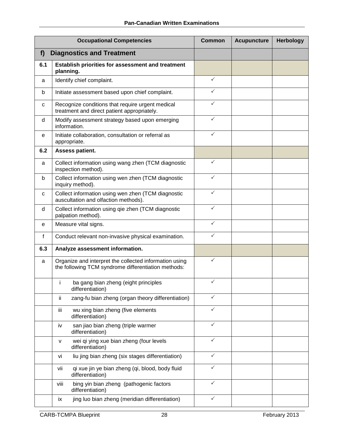|             | <b>Occupational Competencies</b>                                                                              |              | <b>Acupuncture</b> | <b>Herbology</b> |
|-------------|---------------------------------------------------------------------------------------------------------------|--------------|--------------------|------------------|
| f           | <b>Diagnostics and Treatment</b>                                                                              |              |                    |                  |
| 6.1         | Establish priorities for assessment and treatment<br>planning.                                                |              |                    |                  |
| a           | Identify chief complaint.                                                                                     | $\checkmark$ |                    |                  |
| b           | Initiate assessment based upon chief complaint.                                                               | $\checkmark$ |                    |                  |
| C           | Recognize conditions that require urgent medical<br>treatment and direct patient appropriately.               | $\checkmark$ |                    |                  |
| d           | Modify assessment strategy based upon emerging<br>information.                                                | ✓            |                    |                  |
| e           | Initiate collaboration, consultation or referral as<br>appropriate.                                           | $\checkmark$ |                    |                  |
| 6.2         | Assess patient.                                                                                               |              |                    |                  |
| a           | Collect information using wang zhen (TCM diagnostic<br>inspection method).                                    | $\checkmark$ |                    |                  |
| b           | Collect information using wen zhen (TCM diagnostic<br>inquiry method).                                        | $\checkmark$ |                    |                  |
| $\mathbf C$ | Collect information using wen zhen (TCM diagnostic<br>auscultation and olfaction methods).                    | $\checkmark$ |                    |                  |
| d           | Collect information using qie zhen (TCM diagnostic<br>palpation method).                                      | $\checkmark$ |                    |                  |
| e           | Measure vital signs.                                                                                          | $\checkmark$ |                    |                  |
| f           | Conduct relevant non-invasive physical examination.                                                           | ✓            |                    |                  |
| 6.3         | Analyze assessment information.                                                                               |              |                    |                  |
| a           | Organize and interpret the collected information using<br>the following TCM syndrome differentiation methods: | $\checkmark$ |                    |                  |
|             | ba gang bian zheng (eight principles<br>İ.<br>differentiation)                                                | $\checkmark$ |                    |                  |
|             | zang-fu bian zheng (organ theory differentiation)<br>ij.                                                      | $\checkmark$ |                    |                  |
|             | wu xing bian zheng (five elements<br>iii<br>differentiation)                                                  | $\checkmark$ |                    |                  |
|             | san jiao bian zheng (triple warmer<br>iv<br>differentiation)                                                  | $\checkmark$ |                    |                  |
|             | wei qi ying xue bian zheng (four levels<br>v<br>differentiation)                                              | $\checkmark$ |                    |                  |
|             | liu jing bian zheng (six stages differentiation)<br>vi                                                        | $\checkmark$ |                    |                  |
|             | qi xue jin ye bian zheng (qi, blood, body fluid<br>vii<br>differentiation)                                    | ✓            |                    |                  |
|             | bing yin bian zheng (pathogenic factors<br>viii<br>differentiation)                                           | $\checkmark$ |                    |                  |
|             | jing luo bian zheng (meridian differentiation)<br>ix                                                          | $\checkmark$ |                    |                  |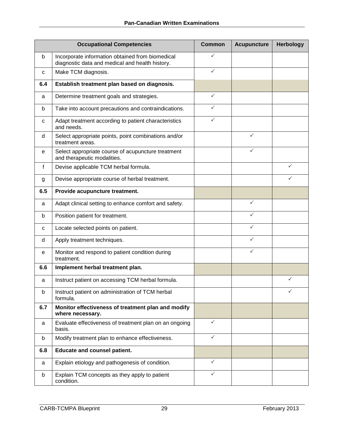| <b>Occupational Competencies</b> |                                                                                                     | <b>Common</b> | <b>Acupuncture</b> | <b>Herbology</b> |
|----------------------------------|-----------------------------------------------------------------------------------------------------|---------------|--------------------|------------------|
| b                                | Incorporate information obtained from biomedical<br>diagnostic data and medical and health history. | ✓             |                    |                  |
| C                                | Make TCM diagnosis.                                                                                 | $\checkmark$  |                    |                  |
| 6.4                              | Establish treatment plan based on diagnosis.                                                        |               |                    |                  |
| a                                | Determine treatment goals and strategies.                                                           | $\checkmark$  |                    |                  |
| b                                | Take into account precautions and contraindications.                                                | $\checkmark$  |                    |                  |
| C                                | Adapt treatment according to patient characteristics<br>and needs.                                  | ✓             |                    |                  |
| d                                | Select appropriate points, point combinations and/or<br>treatment areas.                            |               | ✓                  |                  |
| е                                | Select appropriate course of acupuncture treatment<br>and therapeutic modalities.                   |               | ✓                  |                  |
| f                                | Devise applicable TCM herbal formula.                                                               |               |                    | ✓                |
| g                                | Devise appropriate course of herbal treatment.                                                      |               |                    | ✓                |
| 6.5                              | Provide acupuncture treatment.                                                                      |               |                    |                  |
| a                                | Adapt clinical setting to enhance comfort and safety.                                               |               | ✓                  |                  |
| b                                | Position patient for treatment.                                                                     |               | ✓                  |                  |
| C                                | Locate selected points on patient.                                                                  |               | ✓                  |                  |
| d                                | Apply treatment techniques.                                                                         |               | ✓                  |                  |
| е                                | Monitor and respond to patient condition during<br>treatment.                                       |               | ✓                  |                  |
| 6.6                              | Implement herbal treatment plan.                                                                    |               |                    |                  |
| a                                | Instruct patient on accessing TCM herbal formula.                                                   |               |                    | ✓                |
| b                                | Instruct patient on administration of TCM herbal<br>formula.                                        |               |                    | ✓                |
| 6.7                              | Monitor effectiveness of treatment plan and modify<br>where necessary.                              |               |                    |                  |
| a                                | Evaluate effectiveness of treatment plan on an ongoing<br>basis.                                    | $\checkmark$  |                    |                  |
| b                                | Modify treatment plan to enhance effectiveness.                                                     | $\checkmark$  |                    |                  |
| 6.8                              | <b>Educate and counsel patient.</b>                                                                 |               |                    |                  |
| a                                | Explain etiology and pathogenesis of condition.                                                     | $\checkmark$  |                    |                  |
| b                                | Explain TCM concepts as they apply to patient<br>condition.                                         | $\checkmark$  |                    |                  |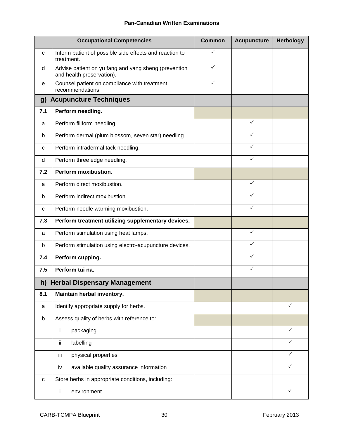| <b>Occupational Competencies</b> |                                                                                   | <b>Common</b> | <b>Acupuncture</b> | <b>Herbology</b> |
|----------------------------------|-----------------------------------------------------------------------------------|---------------|--------------------|------------------|
| C                                | Inform patient of possible side effects and reaction to<br>treatment.             | ✓             |                    |                  |
| d                                | Advise patient on yu fang and yang sheng (prevention<br>and health preservation). | $\checkmark$  |                    |                  |
| е                                | Counsel patient on compliance with treatment<br>recommendations.                  | $\checkmark$  |                    |                  |
| g)                               | <b>Acupuncture Techniques</b>                                                     |               |                    |                  |
| 7.1                              | Perform needling.                                                                 |               |                    |                  |
| a                                | Perform filiform needling.                                                        |               | $\checkmark$       |                  |
| b                                | Perform dermal (plum blossom, seven star) needling.                               |               | $\checkmark$       |                  |
| C                                | Perform intradermal tack needling.                                                |               | ✓                  |                  |
| d                                | Perform three edge needling.                                                      |               | ✓                  |                  |
| 7.2                              | Perform moxibustion.                                                              |               |                    |                  |
| a                                | Perform direct moxibustion.                                                       |               | $\checkmark$       |                  |
| b                                | Perform indirect moxibustion.                                                     |               | ✓                  |                  |
| C                                | Perform needle warming moxibustion.                                               |               | $\checkmark$       |                  |
| 7.3                              | Perform treatment utilizing supplementary devices.                                |               |                    |                  |
| a                                | Perform stimulation using heat lamps.                                             |               | $\checkmark$       |                  |
| b                                | Perform stimulation using electro-acupuncture devices.                            |               | ✓                  |                  |
| 7.4                              | Perform cupping.                                                                  |               | ✓                  |                  |
| 7.5                              | Perform tui na.                                                                   |               | ✓                  |                  |
|                                  | h) Herbal Dispensary Management                                                   |               |                    |                  |
| 8.1                              | Maintain herbal inventory.                                                        |               |                    |                  |
| a                                | Identify appropriate supply for herbs.                                            |               |                    | ✓                |
| b                                | Assess quality of herbs with reference to:                                        |               |                    |                  |
|                                  | j.<br>packaging                                                                   |               |                    | $\checkmark$     |
|                                  | ii.<br>labelling                                                                  |               |                    | ✓                |
|                                  | physical properties<br>iii.                                                       |               |                    | ✓                |
|                                  | available quality assurance information<br>iv                                     |               |                    | ✓                |
| $\mathbf C$                      | Store herbs in appropriate conditions, including:                                 |               |                    |                  |
|                                  | environment<br>j.                                                                 |               |                    | ✓                |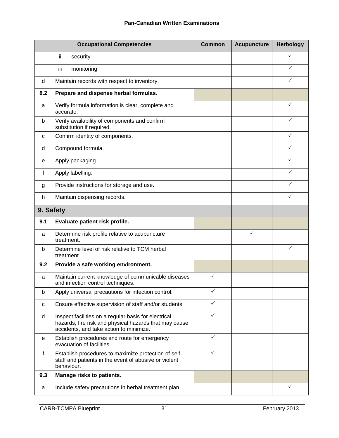|           | <b>Occupational Competencies</b>                                                                                                                          | <b>Common</b> | <b>Acupuncture</b> | <b>Herbology</b> |
|-----------|-----------------------------------------------------------------------------------------------------------------------------------------------------------|---------------|--------------------|------------------|
|           | ij.<br>security                                                                                                                                           |               |                    | ✓                |
|           | iii<br>monitoring                                                                                                                                         |               |                    | ✓                |
| d         | Maintain records with respect to inventory.                                                                                                               |               |                    | $\checkmark$     |
| 8.2       | Prepare and dispense herbal formulas.                                                                                                                     |               |                    |                  |
| a         | Verify formula information is clear, complete and<br>accurate.                                                                                            |               |                    | $\checkmark$     |
| b         | Verify availability of components and confirm<br>substitution if required.                                                                                |               |                    | ✓                |
| C         | Confirm identity of components.                                                                                                                           |               |                    |                  |
| d         | Compound formula.                                                                                                                                         |               |                    | ✓                |
| e         | Apply packaging.                                                                                                                                          |               |                    | $\checkmark$     |
| f         | Apply labelling.                                                                                                                                          |               |                    | $\checkmark$     |
| g         | Provide instructions for storage and use.                                                                                                                 |               |                    | ✓                |
| h         | Maintain dispensing records.                                                                                                                              |               |                    | ✓                |
| 9. Safety |                                                                                                                                                           |               |                    |                  |
| 9.1       | Evaluate patient risk profile.                                                                                                                            |               |                    |                  |
| a         | Determine risk profile relative to acupuncture<br>treatment.                                                                                              |               | ✓                  |                  |
| b         | Determine level of risk relative to TCM herbal<br>treatment.                                                                                              |               |                    | ✓                |
| 9.2       | Provide a safe working environment.                                                                                                                       |               |                    |                  |
| a         | Maintain current knowledge of communicable diseases<br>and infection control techniques.                                                                  | ✓             |                    |                  |
| b         | Apply universal precautions for infection control.                                                                                                        | $\checkmark$  |                    |                  |
| C         | Ensure effective supervision of staff and/or students.                                                                                                    | $\checkmark$  |                    |                  |
| d         | Inspect facilities on a regular basis for electrical<br>hazards, fire risk and physical hazards that may cause<br>accidents, and take action to minimize. | ✓             |                    |                  |
| е         | Establish procedures and route for emergency<br>evacuation of facilities.                                                                                 | $\checkmark$  |                    |                  |
| f         | Establish procedures to maximize protection of self,<br>staff and patients in the event of abusive or violent<br>behaviour.                               | ✓             |                    |                  |
| 9.3       | Manage risks to patients.                                                                                                                                 |               |                    |                  |
| a         | Include safety precautions in herbal treatment plan.                                                                                                      |               |                    | $\checkmark$     |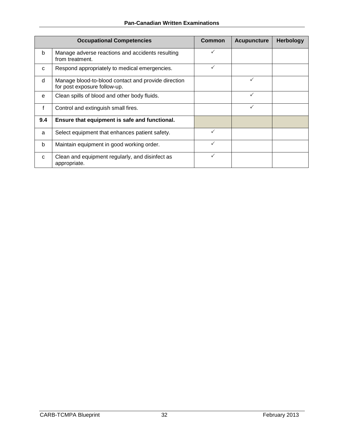|              | <b>Occupational Competencies</b>                                                    | <b>Common</b> | <b>Acupuncture</b> | <b>Herbology</b> |
|--------------|-------------------------------------------------------------------------------------|---------------|--------------------|------------------|
| b            | Manage adverse reactions and accidents resulting<br>from treatment.                 | ✓             |                    |                  |
| C            | Respond appropriately to medical emergencies.                                       | ✓             |                    |                  |
| d            | Manage blood-to-blood contact and provide direction<br>for post exposure follow-up. |               | ✓                  |                  |
| e            | Clean spills of blood and other body fluids.                                        |               |                    |                  |
| $\mathsf{f}$ | Control and extinguish small fires.                                                 |               | ✓                  |                  |
| 9.4          | Ensure that equipment is safe and functional.                                       |               |                    |                  |
| a            | Select equipment that enhances patient safety.                                      | ✓             |                    |                  |
| b            | Maintain equipment in good working order.                                           | ✓             |                    |                  |
| C            | Clean and equipment regularly, and disinfect as<br>appropriate.                     | ✓             |                    |                  |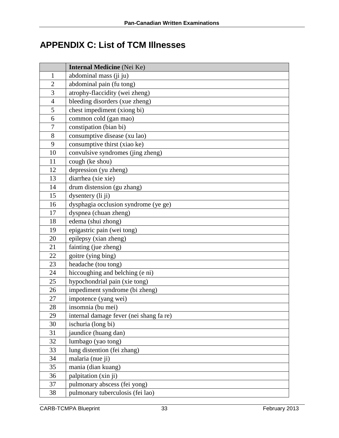# <span id="page-36-0"></span>**APPENDIX C: List of TCM Illnesses**

|                | <b>Internal Medicine</b> (Nei Ke)       |
|----------------|-----------------------------------------|
| $\mathbf{1}$   | abdominal mass (ji ju)                  |
| $\overline{2}$ | abdominal pain (fu tong)                |
| 3              | atrophy-flaccidity (wei zheng)          |
| $\overline{4}$ | bleeding disorders (xue zheng)          |
| 5              | chest impediment (xiong bi)             |
| 6              | common cold (gan mao)                   |
| $\tau$         | constipation (bian bi)                  |
| 8              | consumptive disease (xu lao)            |
| 9              | consumptive thirst (xiao ke)            |
| 10             | convulsive syndromes (jing zheng)       |
| 11             | cough (ke shou)                         |
| 12             | depression (yu zheng)                   |
| 13             | diarrhea (xie xie)                      |
| 14             | drum distension (gu zhang)              |
| 15             | dysentery (li ji)                       |
| 16             | dysphagia occlusion syndrome (ye ge)    |
| 17             | dyspnea (chuan zheng)                   |
| 18             | edema (shui zhong)                      |
| 19             | epigastric pain (wei tong)              |
| 20             | epilepsy (xian zheng)                   |
| 21             | fainting (jue zheng)                    |
| 22             | goitre (ying bing)                      |
| 23             | headache (tou tong)                     |
| 24             | hiccoughing and belching (e ni)         |
| 25             | hypochondrial pain (xie tong)           |
| 26             | impediment syndrome (bi zheng)          |
| 27             | impotence (yang wei)                    |
| 28             | insomnia (bu mei)                       |
| 29             | internal damage fever (nei shang fa re) |
| 30             | ischuria (long bi)                      |
| 31             | jaundice (huang dan)                    |
| 32             | lumbago (yao tong)                      |
| 33             | lung distention (fei zhang)             |
| 34             | malaria (nue ji)                        |
| 35             | mania (dian kuang)                      |
| 36             | palpitation (xin ji)                    |
| 37             | pulmonary abscess (fei yong)            |
| 38             | pulmonary tuberculosis (fei lao)        |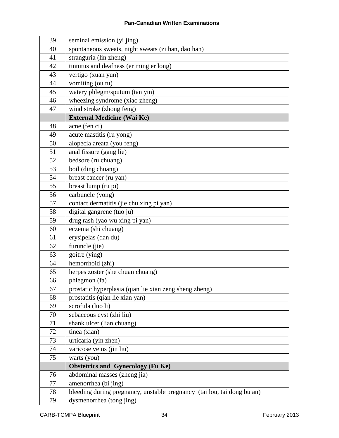| 39 | seminal emission (yi jing)                                              |
|----|-------------------------------------------------------------------------|
| 40 | spontaneous sweats, night sweats (zi han, dao han)                      |
| 41 | stranguria (lin zheng)                                                  |
| 42 | tinnitus and deafness (er ming er long)                                 |
| 43 | vertigo (xuan yun)                                                      |
| 44 | vomiting (ou tu)                                                        |
| 45 | watery phlegm/sputum (tan yin)                                          |
| 46 | wheezing syndrome (xiao zheng)                                          |
| 47 | wind stroke (zhong feng)                                                |
|    | <b>External Medicine (Wai Ke)</b>                                       |
| 48 | acne (fen ci)                                                           |
| 49 | acute mastitis (ru yong)                                                |
| 50 | alopecia areata (you feng)                                              |
| 51 | anal fissure (gang lie)                                                 |
| 52 | bedsore (ru chuang)                                                     |
| 53 | boil (ding chuang)                                                      |
| 54 | breast cancer (ru yan)                                                  |
| 55 | breast lump (ru pi)                                                     |
| 56 | carbuncle (yong)                                                        |
| 57 | contact dermatitis (jie chu xing pi yan)                                |
| 58 | digital gangrene (tuo ju)                                               |
| 59 | drug rash (yao wu xing pi yan)                                          |
| 60 | eczema (shi chuang)                                                     |
| 61 | erysipelas (dan du)                                                     |
| 62 | furuncle (jie)                                                          |
| 63 | goitre (ying)                                                           |
| 64 | hemorrhoid (zhi)                                                        |
| 65 | herpes zoster (she chuan chuang)                                        |
| 66 | phlegmon (fa)                                                           |
| 67 | prostatic hyperplasia (qian lie xian zeng sheng zheng)                  |
| 68 | prostatitis (qian lie xian yan)                                         |
| 69 | scrofula (luo li)                                                       |
| 70 | sebaceous cyst (zhi liu)                                                |
| 71 | shank ulcer (lian chuang)                                               |
| 72 | tinea (xian)                                                            |
| 73 | urticaria (yin zhen)                                                    |
| 74 | varicose veins (jin liu)                                                |
| 75 | warts (you)                                                             |
|    | <b>Obstetrics and Gynecology (Fu Ke)</b>                                |
| 76 | abdominal masses (zheng jia)                                            |
| 77 | amenorrhea (bi jing)                                                    |
| 78 | bleeding during pregnancy, unstable pregnancy (tai lou, tai dong bu an) |
| 79 | dysmenorrhea (tong jing)                                                |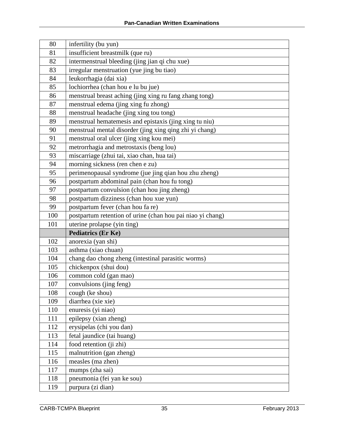| 80  | infertility (bu yun)                                       |
|-----|------------------------------------------------------------|
| 81  | insufficient breastmilk (que ru)                           |
| 82  | intermenstrual bleeding (jing jian qi chu xue)             |
| 83  | irregular menstruation (yue jing bu tiao)                  |
| 84  | leukorrhagia (dai xia)                                     |
| 85  | lochiorrhea (chan hou e lu bu jue)                         |
| 86  | menstrual breast aching (jing xing ru fang zhang tong)     |
| 87  | menstrual edema (jing xing fu zhong)                       |
| 88  | menstrual headache (jing xing tou tong)                    |
| 89  | menstrual hematemesis and epistaxis (jing xing tu niu)     |
| 90  | menstrual mental disorder (jing xing qing zhi yi chang)    |
| 91  | menstrual oral ulcer (jing xing kou mei)                   |
| 92  | metrorrhagia and metrostaxis (beng lou)                    |
| 93  | miscarriage (zhui tai, xiao chan, hua tai)                 |
| 94  | morning sickness (ren chen e zu)                           |
| 95  | perimenopausal syndrome (jue jing qian hou zhu zheng)      |
| 96  | postpartum abdominal pain (chan hou fu tong)               |
| 97  | postpartum convulsion (chan hou jing zheng)                |
| 98  | postpartum dizziness (chan hou xue yun)                    |
| 99  | postpartum fever (chan hou fa re)                          |
| 100 | postpartum retention of urine (chan hou pai niao yi chang) |
| 101 | uterine prolapse (yin ting)                                |
|     | <b>Pediatrics (Er Ke)</b>                                  |
| 102 | anorexia (yan shi)                                         |
| 103 | asthma (xiao chuan)                                        |
| 104 | chang dao chong zheng (intestinal parasitic worms)         |
| 105 | chickenpox (shui dou)                                      |
| 106 | common cold (gan mao)                                      |
| 107 | convulsions (jing feng)                                    |
| 108 | cough (ke shou)                                            |
| 109 | diarrhea (xie xie)                                         |
| 110 | enuresis (yi niao)                                         |
| 111 | epilepsy (xian zheng)                                      |
| 112 | erysipelas (chi you dan)                                   |
| 113 | fetal jaundice (tai huang)                                 |
| 114 | food retention (ji zhi)                                    |
| 115 | malnutrition (gan zheng)                                   |
| 116 | measles (ma zhen)                                          |
| 117 | mumps (zha sai)                                            |
| 118 | pneumonia (fei yan ke sou)                                 |
| 119 | purpura (zi dian)                                          |